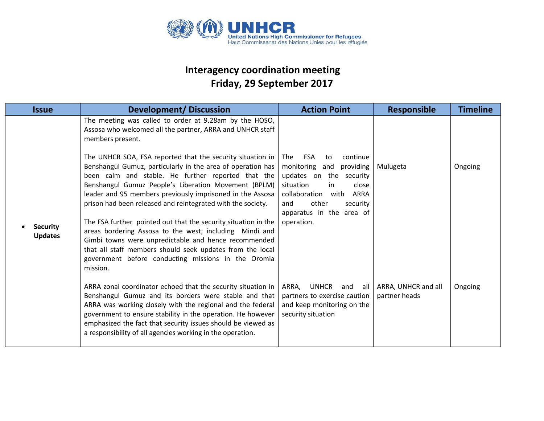

## **Interagency coordination meeting Friday, 29 September 2017**

| <b>Issue</b>                      | <b>Development/Discussion</b>                                                                                                                                                                                                                                                                                                                                                                                                                                                                                                                                                                                                                                                                                                                                                                                                       | <b>Action Point</b>                                                                                                                                                                                                           | <b>Responsible</b>                   | <b>Timeline</b> |
|-----------------------------------|-------------------------------------------------------------------------------------------------------------------------------------------------------------------------------------------------------------------------------------------------------------------------------------------------------------------------------------------------------------------------------------------------------------------------------------------------------------------------------------------------------------------------------------------------------------------------------------------------------------------------------------------------------------------------------------------------------------------------------------------------------------------------------------------------------------------------------------|-------------------------------------------------------------------------------------------------------------------------------------------------------------------------------------------------------------------------------|--------------------------------------|-----------------|
| <b>Security</b><br><b>Updates</b> | The meeting was called to order at 9.28am by the HOSO,<br>Assosa who welcomed all the partner, ARRA and UNHCR staff<br>members present.<br>The UNHCR SOA, FSA reported that the security situation in<br>Benshangul Gumuz, particularly in the area of operation has<br>been calm and stable. He further reported that the<br>Benshangul Gumuz People's Liberation Movement (BPLM)<br>leader and 95 members previously imprisoned in the Assosa<br>prison had been released and reintegrated with the society.<br>The FSA further pointed out that the security situation in the<br>areas bordering Assosa to the west; including Mindi and<br>Gimbi towns were unpredictable and hence recommended<br>that all staff members should seek updates from the local<br>government before conducting missions in the Oromia<br>mission. | FSA<br>continue<br><b>The</b><br>to<br>monitoring and<br>providing<br>updates on the security<br>situation<br>in<br>close<br>collaboration<br>with ARRA<br>other<br>and<br>security<br>apparatus in the area of<br>operation. | Mulugeta                             | Ongoing         |
|                                   | ARRA zonal coordinator echoed that the security situation in<br>Benshangul Gumuz and its borders were stable and that<br>ARRA was working closely with the regional and the federal<br>government to ensure stability in the operation. He however<br>emphasized the fact that security issues should be viewed as<br>a responsibility of all agencies working in the operation.                                                                                                                                                                                                                                                                                                                                                                                                                                                    | ARRA, UNHCR and<br>all<br>partners to exercise caution<br>and keep monitoring on the<br>security situation                                                                                                                    | ARRA, UNHCR and all<br>partner heads | Ongoing         |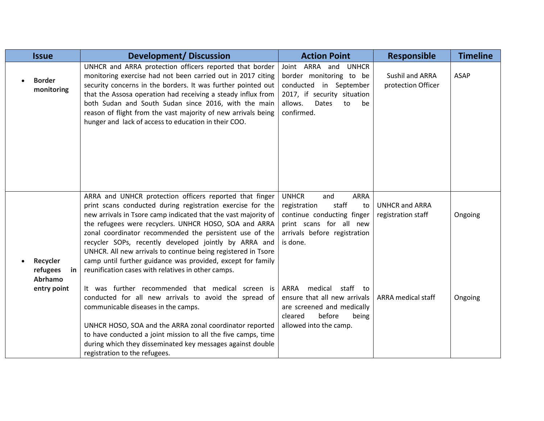| <b>Issue</b>                          | <b>Development/Discussion</b>                                                                                                                                                                                                                                                                                                                                                                                                                                                                                                                              | <b>Action Point</b>                                                                                                                                                    | <b>Responsible</b>                          | <b>Timeline</b> |
|---------------------------------------|------------------------------------------------------------------------------------------------------------------------------------------------------------------------------------------------------------------------------------------------------------------------------------------------------------------------------------------------------------------------------------------------------------------------------------------------------------------------------------------------------------------------------------------------------------|------------------------------------------------------------------------------------------------------------------------------------------------------------------------|---------------------------------------------|-----------------|
| <b>Border</b><br>monitoring           | UNHCR and ARRA protection officers reported that border<br>monitoring exercise had not been carried out in 2017 citing<br>security concerns in the borders. It was further pointed out<br>that the Assosa operation had receiving a steady influx from<br>both Sudan and South Sudan since 2016, with the main<br>reason of flight from the vast majority of new arrivals being<br>hunger and lack of access to education in their COO.                                                                                                                    | Joint ARRA and UNHCR<br>border monitoring to be<br>conducted in September<br>2017, if security situation<br>allows.<br><b>Dates</b><br>to<br>be<br>confirmed.          | Sushil and ARRA<br>protection Officer       | <b>ASAP</b>     |
| Recycler<br>refugees<br>in<br>Abrhamo | ARRA and UNHCR protection officers reported that finger<br>print scans conducted during registration exercise for the<br>new arrivals in Tsore camp indicated that the vast majority of<br>the refugees were recyclers. UNHCR HOSO, SOA and ARRA<br>zonal coordinator recommended the persistent use of the<br>recycler SOPs, recently developed jointly by ARRA and<br>UNHCR. All new arrivals to continue being registered in Tsore<br>camp until further guidance was provided, except for family<br>reunification cases with relatives in other camps. | <b>UNHCR</b><br>and<br><b>ARRA</b><br>staff<br>registration<br>to<br>continue conducting finger<br>print scans for all new<br>arrivals before registration<br>is done. | <b>UNHCR and ARRA</b><br>registration staff | Ongoing         |
| entry point                           | It was further recommended that medical screen is<br>conducted for all new arrivals to avoid the spread of<br>communicable diseases in the camps.<br>UNHCR HOSO, SOA and the ARRA zonal coordinator reported<br>to have conducted a joint mission to all the five camps, time<br>during which they disseminated key messages against double<br>registration to the refugees.                                                                                                                                                                               | medical<br>staff to<br>ARRA<br>ensure that all new arrivals<br>are screened and medically<br>cleared<br>before<br>being<br>allowed into the camp.                      | <b>ARRA</b> medical staff                   | Ongoing         |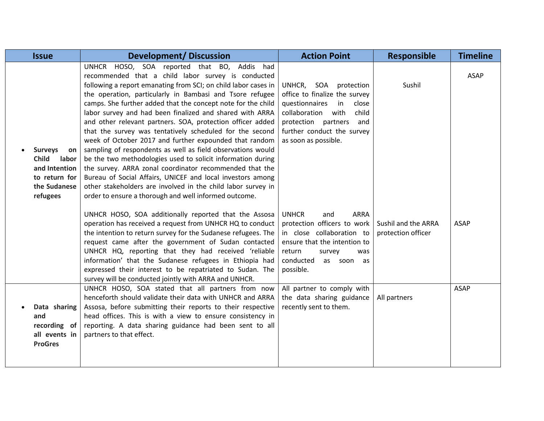| <b>Issue</b>                                                                                                | <b>Development/Discussion</b>                                                                                                                                                                                                                                                                                                                                                                                                                                                                                                                                                                                                                                                                                                                                                                                                                                                                                                   | <b>Action Point</b>                                                                                                                                                                                           | <b>Responsible</b>                        | <b>Timeline</b> |
|-------------------------------------------------------------------------------------------------------------|---------------------------------------------------------------------------------------------------------------------------------------------------------------------------------------------------------------------------------------------------------------------------------------------------------------------------------------------------------------------------------------------------------------------------------------------------------------------------------------------------------------------------------------------------------------------------------------------------------------------------------------------------------------------------------------------------------------------------------------------------------------------------------------------------------------------------------------------------------------------------------------------------------------------------------|---------------------------------------------------------------------------------------------------------------------------------------------------------------------------------------------------------------|-------------------------------------------|-----------------|
| <b>Surveys</b><br>on<br><b>Child</b><br>labor<br>and Intention<br>to return for<br>the Sudanese<br>refugees | UNHCR HOSO, SOA reported that BO, Addis had<br>recommended that a child labor survey is conducted<br>following a report emanating from SCI; on child labor cases in<br>the operation, particularly in Bambasi and Tsore refugee<br>camps. She further added that the concept note for the child<br>labor survey and had been finalized and shared with ARRA<br>and other relevant partners. SOA, protection officer added<br>that the survey was tentatively scheduled for the second<br>week of October 2017 and further expounded that random<br>sampling of respondents as well as field observations would<br>be the two methodologies used to solicit information during<br>the survey. ARRA zonal coordinator recommended that the<br>Bureau of Social Affairs, UNICEF and local investors among<br>other stakeholders are involved in the child labor survey in<br>order to ensure a thorough and well informed outcome. | UNHCR, SOA protection<br>office to finalize the survey<br>questionnaires<br>in<br>close<br>collaboration<br>with<br>child<br>protection partners<br>and<br>further conduct the survey<br>as soon as possible. | Sushil                                    | <b>ASAP</b>     |
|                                                                                                             | UNHCR HOSO, SOA additionally reported that the Assosa<br>operation has received a request from UNHCR HQ to conduct<br>the intention to return survey for the Sudanese refugees. The<br>request came after the government of Sudan contacted<br>UNHCR HQ, reporting that they had received 'reliable<br>information' that the Sudanese refugees in Ethiopia had<br>expressed their interest to be repatriated to Sudan. The<br>survey will be conducted jointly with ARRA and UNHCR.                                                                                                                                                                                                                                                                                                                                                                                                                                             | <b>UNHCR</b><br><b>ARRA</b><br>and<br>protection officers to work<br>in close collaboration to<br>ensure that the intention to<br>return<br>survey<br>was<br>conducted<br>as soon<br>as<br>possible.          | Sushil and the ARRA<br>protection officer | <b>ASAP</b>     |
| Data sharing<br>and<br>recording of<br>all events in<br><b>ProGres</b>                                      | UNHCR HOSO, SOA stated that all partners from now<br>henceforth should validate their data with UNHCR and ARRA<br>Assosa, before submitting their reports to their respective<br>head offices. This is with a view to ensure consistency in<br>reporting. A data sharing guidance had been sent to all<br>partners to that effect.                                                                                                                                                                                                                                                                                                                                                                                                                                                                                                                                                                                              | All partner to comply with<br>the data sharing guidance<br>recently sent to them.                                                                                                                             | All partners                              | <b>ASAP</b>     |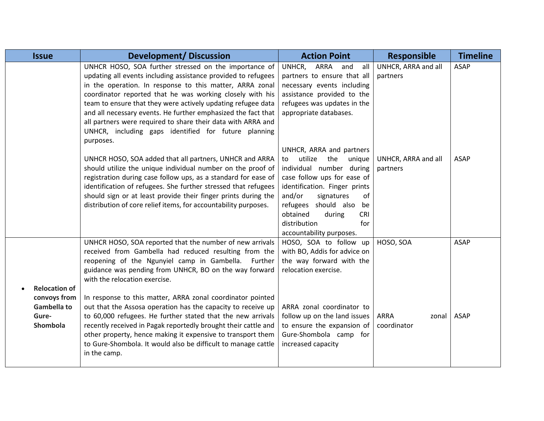| <b>Issue</b>         | <b>Development/Discussion</b>                                   | <b>Action Point</b>              | <b>Responsible</b>   | <b>Timeline</b> |
|----------------------|-----------------------------------------------------------------|----------------------------------|----------------------|-----------------|
|                      | UNHCR HOSO, SOA further stressed on the importance of           | ARRA<br>UNHCR,<br>all<br>and     | UNHCR, ARRA and all  | <b>ASAP</b>     |
|                      | updating all events including assistance provided to refugees   | partners to ensure that all      | partners             |                 |
|                      | in the operation. In response to this matter, ARRA zonal        | necessary events including       |                      |                 |
|                      | coordinator reported that he was working closely with his       | assistance provided to the       |                      |                 |
|                      | team to ensure that they were actively updating refugee data    | refugees was updates in the      |                      |                 |
|                      | and all necessary events. He further emphasized the fact that   | appropriate databases.           |                      |                 |
|                      | all partners were required to share their data with ARRA and    |                                  |                      |                 |
|                      | UNHCR, including gaps identified for future planning            |                                  |                      |                 |
|                      | purposes.                                                       | UNHCR, ARRA and partners         |                      |                 |
|                      | UNHCR HOSO, SOA added that all partners, UNHCR and ARRA         | utilize the unique<br>to         | UNHCR, ARRA and all  | <b>ASAP</b>     |
|                      | should utilize the unique individual number on the proof of     | individual number during         | partners             |                 |
|                      | registration during case follow ups, as a standard for ease of  | case follow ups for ease of      |                      |                 |
|                      | identification of refugees. She further stressed that refugees  | identification. Finger prints    |                      |                 |
|                      | should sign or at least provide their finger prints during the  | and/or<br>signatures<br>of       |                      |                 |
|                      | distribution of core relief items, for accountability purposes. | refugees should also<br>be       |                      |                 |
|                      |                                                                 | obtained<br>during<br><b>CRI</b> |                      |                 |
|                      |                                                                 | distribution<br>for              |                      |                 |
|                      |                                                                 | accountability purposes.         |                      |                 |
|                      | UNHCR HOSO, SOA reported that the number of new arrivals        | HOSO, SOA to follow up           | HOSO, SOA            | <b>ASAP</b>     |
|                      | received from Gambella had reduced resulting from the           | with BO, Addis for advice on     |                      |                 |
|                      | reopening of the Ngunyiel camp in Gambella. Further             | the way forward with the         |                      |                 |
|                      | guidance was pending from UNHCR, BO on the way forward          | relocation exercise.             |                      |                 |
| <b>Relocation of</b> | with the relocation exercise.                                   |                                  |                      |                 |
| convoys from         | In response to this matter, ARRA zonal coordinator pointed      |                                  |                      |                 |
| <b>Gambella to</b>   | out that the Assosa operation has the capacity to receive up    | ARRA zonal coordinator to        |                      |                 |
| Gure-                | to 60,000 refugees. He further stated that the new arrivals     | follow up on the land issues     | <b>ARRA</b><br>zonal | <b>ASAP</b>     |
| Shombola             | recently received in Pagak reportedly brought their cattle and  | to ensure the expansion of       | coordinator          |                 |
|                      | other property, hence making it expensive to transport them     | Gure-Shombola camp for           |                      |                 |
|                      | to Gure-Shombola. It would also be difficult to manage cattle   | increased capacity               |                      |                 |
|                      | in the camp.                                                    |                                  |                      |                 |
|                      |                                                                 |                                  |                      |                 |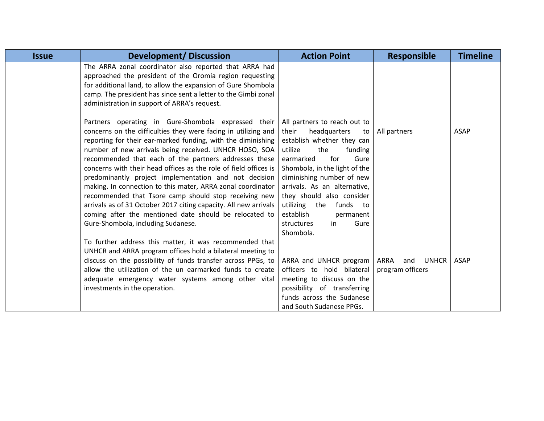| <b>Issue</b> | <b>Development/Discussion</b>                                                                                                                                                                                                                                                                                                                                                                                                                                                                                                                                                                                                                                                                                                     | <b>Action Point</b>                                                                                                                                                                                                                                                                                                                                                 | <b>Responsible</b>                              | <b>Timeline</b> |
|--------------|-----------------------------------------------------------------------------------------------------------------------------------------------------------------------------------------------------------------------------------------------------------------------------------------------------------------------------------------------------------------------------------------------------------------------------------------------------------------------------------------------------------------------------------------------------------------------------------------------------------------------------------------------------------------------------------------------------------------------------------|---------------------------------------------------------------------------------------------------------------------------------------------------------------------------------------------------------------------------------------------------------------------------------------------------------------------------------------------------------------------|-------------------------------------------------|-----------------|
|              | The ARRA zonal coordinator also reported that ARRA had<br>approached the president of the Oromia region requesting<br>for additional land, to allow the expansion of Gure Shombola<br>camp. The president has since sent a letter to the Gimbi zonal<br>administration in support of ARRA's request.                                                                                                                                                                                                                                                                                                                                                                                                                              |                                                                                                                                                                                                                                                                                                                                                                     |                                                 |                 |
|              | Partners operating in Gure-Shombola expressed their<br>concerns on the difficulties they were facing in utilizing and<br>reporting for their ear-marked funding, with the diminishing<br>number of new arrivals being received. UNHCR HOSO, SOA<br>recommended that each of the partners addresses these<br>concerns with their head offices as the role of field offices is<br>predominantly project implementation and not decision<br>making. In connection to this mater, ARRA zonal coordinator<br>recommended that Tsore camp should stop receiving new<br>arrivals as of 31 October 2017 citing capacity. All new arrivals<br>coming after the mentioned date should be relocated to<br>Gure-Shombola, including Sudanese. | All partners to reach out to<br>their<br>headquarters<br>to<br>establish whether they can<br>the<br>funding<br>utilize<br>for<br>Gure<br>earmarked<br>Shombola, in the light of the<br>diminishing number of new<br>arrivals. As an alternative,<br>they should also consider<br>utilizing the funds<br>to to<br>establish<br>permanent<br>Gure<br>structures<br>in | All partners                                    | <b>ASAP</b>     |
|              | To further address this matter, it was recommended that<br>UNHCR and ARRA program offices hold a bilateral meeting to<br>discuss on the possibility of funds transfer across PPGs, to<br>allow the utilization of the un earmarked funds to create<br>adequate emergency water systems among other vital<br>investments in the operation.                                                                                                                                                                                                                                                                                                                                                                                         | Shombola.<br>ARRA and UNHCR program<br>officers to hold bilateral<br>meeting to discuss on the<br>possibility of transferring<br>funds across the Sudanese<br>and South Sudanese PPGs.                                                                                                                                                                              | ARRA<br>and<br><b>UNHCR</b><br>program officers | ASAP            |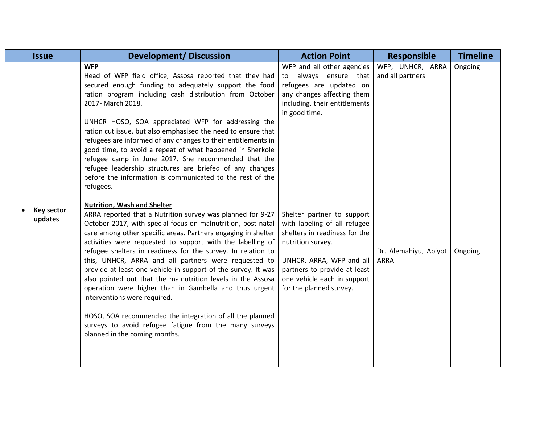| <b>Issue</b>                 | <b>Development/Discussion</b>                                                                                                                                                                                                                                                                                                                                                                                                                                                                                                                                                                                                                                                                                                                                                                            | <b>Action Point</b>                                                                                                                                                                                                                    | <b>Responsible</b>                   | <b>Timeline</b> |
|------------------------------|----------------------------------------------------------------------------------------------------------------------------------------------------------------------------------------------------------------------------------------------------------------------------------------------------------------------------------------------------------------------------------------------------------------------------------------------------------------------------------------------------------------------------------------------------------------------------------------------------------------------------------------------------------------------------------------------------------------------------------------------------------------------------------------------------------|----------------------------------------------------------------------------------------------------------------------------------------------------------------------------------------------------------------------------------------|--------------------------------------|-----------------|
|                              | <b>WFP</b><br>Head of WFP field office, Assosa reported that they had<br>secured enough funding to adequately support the food<br>ration program including cash distribution from October<br>2017- March 2018.<br>UNHCR HOSO, SOA appreciated WFP for addressing the<br>ration cut issue, but also emphasised the need to ensure that<br>refugees are informed of any changes to their entitlements in<br>good time, to avoid a repeat of what happened in Sherkole<br>refugee camp in June 2017. She recommended that the<br>refugee leadership structures are briefed of any changes<br>before the information is communicated to the rest of the<br>refugees.                                                                                                                                         | WFP and all other agencies<br>always ensure that<br>to<br>refugees are updated on<br>any changes affecting them<br>including, their entitlements<br>in good time.                                                                      | WFP, UNHCR, ARRA<br>and all partners | Ongoing         |
| <b>Key sector</b><br>updates | <b>Nutrition, Wash and Shelter</b><br>ARRA reported that a Nutrition survey was planned for 9-27<br>October 2017, with special focus on malnutrition, post natal<br>care among other specific areas. Partners engaging in shelter<br>activities were requested to support with the labelling of<br>refugee shelters in readiness for the survey. In relation to<br>this, UNHCR, ARRA and all partners were requested to<br>provide at least one vehicle in support of the survey. It was<br>also pointed out that the malnutrition levels in the Assosa<br>operation were higher than in Gambella and thus urgent<br>interventions were required.<br>HOSO, SOA recommended the integration of all the planned<br>surveys to avoid refugee fatigue from the many surveys<br>planned in the coming months. | Shelter partner to support<br>with labeling of all refugee<br>shelters in readiness for the<br>nutrition survey.<br>UNHCR, ARRA, WFP and all<br>partners to provide at least<br>one vehicle each in support<br>for the planned survey. | Dr. Alemahiyu, Abiyot<br><b>ARRA</b> | Ongoing         |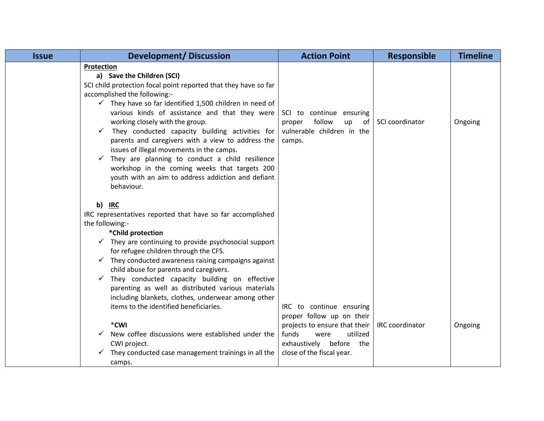| <b>Issue</b> | <b>Development/Discussion</b>                                                                                                                                                                                                                                                                                                                                                                                                                                                                                                                                                                                                                                    | <b>Action Point</b>                                                                              | <b>Responsible</b> | <b>Timeline</b> |
|--------------|------------------------------------------------------------------------------------------------------------------------------------------------------------------------------------------------------------------------------------------------------------------------------------------------------------------------------------------------------------------------------------------------------------------------------------------------------------------------------------------------------------------------------------------------------------------------------------------------------------------------------------------------------------------|--------------------------------------------------------------------------------------------------|--------------------|-----------------|
|              | Protection<br>a) Save the Children (SCI)<br>SCI child protection focal point reported that they have so far<br>accomplished the following:-<br>$\checkmark$ They have so far identified 1,500 children in need of<br>various kinds of assistance and that they were<br>working closely with the group.<br>They conducted capacity building activities for<br>$\checkmark$<br>parents and caregivers with a view to address the<br>issues of illegal movements in the camps.<br>$\checkmark$ They are planning to conduct a child resilience<br>workshop in the coming weeks that targets 200<br>youth with an aim to address addiction and defiant<br>behaviour. | SCI to continue ensuring<br>follow<br>up<br>of<br>proper<br>vulnerable children in the<br>camps. | SCI coordinator    | Ongoing         |
|              | b) IRC<br>IRC representatives reported that have so far accomplished<br>the following:-<br>*Child protection<br>$\checkmark$ They are continuing to provide psychosocial support<br>for refugee children through the CFS.<br>$\checkmark$ They conducted awareness raising campaigns against<br>child abuse for parents and caregivers.<br>$\checkmark$ They conducted capacity building on effective<br>parenting as well as distributed various materials<br>including blankets, clothes, underwear among other<br>items to the identified beneficiaries.<br>*CWI                                                                                              | IRC to continue ensuring<br>proper follow up on their<br>projects to ensure that their           | IRC coordinator    | Ongoing         |
|              | New coffee discussions were established under the<br>CWI project.<br>They conducted case management trainings in all the<br>camps.                                                                                                                                                                                                                                                                                                                                                                                                                                                                                                                               | funds<br>utilized<br>were<br>exhaustively before<br>the<br>close of the fiscal year.             |                    |                 |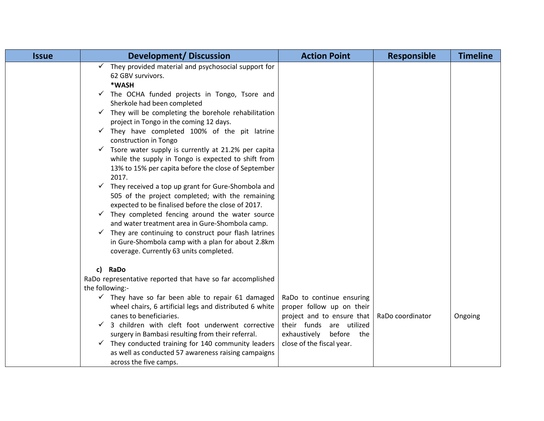| <b>Issue</b> | <b>Development/Discussion</b>                                                                                                                                                                                                                                                                                                                                                                                                                                                                                                                                                                                                                                                                                                                                                                                                                                                                                                                                                                                                                                 | <b>Action Point</b>                                                                                                                                                         | <b>Responsible</b> | <b>Timeline</b> |
|--------------|---------------------------------------------------------------------------------------------------------------------------------------------------------------------------------------------------------------------------------------------------------------------------------------------------------------------------------------------------------------------------------------------------------------------------------------------------------------------------------------------------------------------------------------------------------------------------------------------------------------------------------------------------------------------------------------------------------------------------------------------------------------------------------------------------------------------------------------------------------------------------------------------------------------------------------------------------------------------------------------------------------------------------------------------------------------|-----------------------------------------------------------------------------------------------------------------------------------------------------------------------------|--------------------|-----------------|
|              | $\checkmark$ They provided material and psychosocial support for<br>62 GBV survivors.<br>*WASH<br>$\checkmark$ The OCHA funded projects in Tongo, Tsore and<br>Sherkole had been completed<br>$\checkmark$ They will be completing the borehole rehabilitation<br>project in Tongo in the coming 12 days.<br>$\checkmark$ They have completed 100% of the pit latrine<br>construction in Tongo<br>$\checkmark$ Tsore water supply is currently at 21.2% per capita<br>while the supply in Tongo is expected to shift from<br>13% to 15% per capita before the close of September<br>2017.<br>$\checkmark$ They received a top up grant for Gure-Shombola and<br>505 of the project completed; with the remaining<br>expected to be finalised before the close of 2017.<br>$\checkmark$ They completed fencing around the water source<br>and water treatment area in Gure-Shombola camp.<br>$\checkmark$ They are continuing to construct pour flash latrines<br>in Gure-Shombola camp with a plan for about 2.8km<br>coverage. Currently 63 units completed. |                                                                                                                                                                             |                    |                 |
|              | c) RaDo<br>RaDo representative reported that have so far accomplished<br>the following:-<br>$\checkmark$ They have so far been able to repair 61 damaged<br>wheel chairs, 6 artificial legs and distributed 6 white<br>canes to beneficiaries.<br>3 children with cleft foot underwent corrective<br>$\checkmark$<br>surgery in Bambasi resulting from their referral.<br>$\checkmark$ They conducted training for 140 community leaders<br>as well as conducted 57 awareness raising campaigns<br>across the five camps.                                                                                                                                                                                                                                                                                                                                                                                                                                                                                                                                     | RaDo to continue ensuring<br>proper follow up on their<br>project and to ensure that<br>their funds are utilized<br>before the<br>exhaustively<br>close of the fiscal year. | RaDo coordinator   | Ongoing         |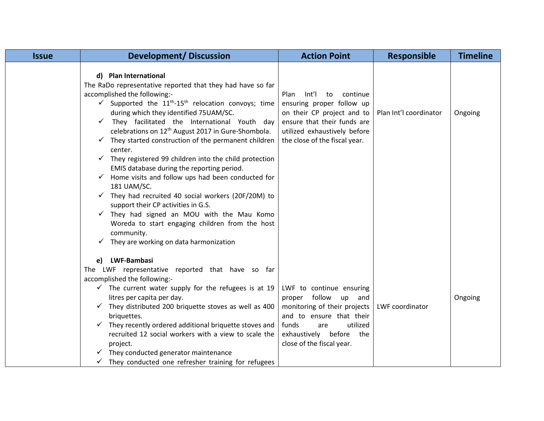| <b>Issue</b> | <b>Development/Discussion</b>                                                                                                                                                                                                                                                                                                                                                                                                                                                                                                                                                                                                                                                                                                                                                                                                                                                                                                                                           | <b>Action Point</b>                                                                                                                                                                                       | <b>Responsible</b>     | <b>Timeline</b> |
|--------------|-------------------------------------------------------------------------------------------------------------------------------------------------------------------------------------------------------------------------------------------------------------------------------------------------------------------------------------------------------------------------------------------------------------------------------------------------------------------------------------------------------------------------------------------------------------------------------------------------------------------------------------------------------------------------------------------------------------------------------------------------------------------------------------------------------------------------------------------------------------------------------------------------------------------------------------------------------------------------|-----------------------------------------------------------------------------------------------------------------------------------------------------------------------------------------------------------|------------------------|-----------------|
|              | d) Plan International<br>The RaDo representative reported that they had have so far<br>accomplished the following:-<br>$\checkmark$ Supported the 11 <sup>th</sup> -15 <sup>th</sup> relocation convoys; time<br>during which they identified 75UAM/SC.<br>They facilitated the International Youth day<br>$\checkmark$<br>celebrations on 12 <sup>th</sup> August 2017 in Gure-Shombola.<br>$\checkmark$ They started construction of the permanent children<br>center.<br>$\checkmark$ They registered 99 children into the child protection<br>EMIS database during the reporting period.<br>$\checkmark$ Home visits and follow ups had been conducted for<br>181 UAM/SC.<br>$\checkmark$ They had recruited 40 social workers (20F/20M) to<br>support their CP activities in G.S.<br>$\checkmark$ They had signed an MOU with the Mau Komo<br>Woreda to start engaging children from the host<br>community.<br>$\checkmark$ They are working on data harmonization | Int'l<br>Plan<br>to<br>continue<br>ensuring proper follow up<br>on their CP project and to<br>ensure that their funds are<br>utilized exhaustively before<br>the close of the fiscal year.                | Plan Int'l coordinator | Ongoing         |
|              | e) LWF-Bambasi<br>The LWF representative reported that have so far<br>accomplished the following:-<br>$\checkmark$ The current water supply for the refugees is at 19<br>litres per capita per day.<br>$\checkmark$ They distributed 200 briquette stoves as well as 400<br>briquettes.<br>$\checkmark$ They recently ordered additional briquette stoves and<br>recruited 12 social workers with a view to scale the<br>project.<br>They conducted generator maintenance<br>They conducted one refresher training for refugees                                                                                                                                                                                                                                                                                                                                                                                                                                         | LWF to continue ensuring<br>follow<br>proper<br>up<br>and<br>monitoring of their projects<br>and to ensure that their<br>funds<br>utilized<br>are<br>exhaustively before the<br>close of the fiscal year. | LWF coordinator        | Ongoing         |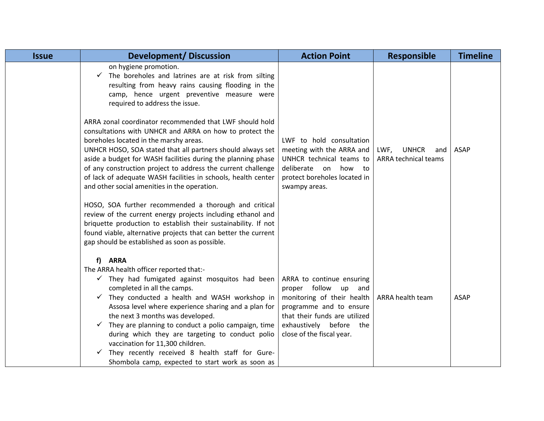| <b>Issue</b> | <b>Development/Discussion</b>                                                                                                                                                                                                                                                                                                                                                                                                                                               | <b>Action Point</b>                                                                                                                                                                                    | <b>Responsible</b>                                         | <b>Timeline</b> |
|--------------|-----------------------------------------------------------------------------------------------------------------------------------------------------------------------------------------------------------------------------------------------------------------------------------------------------------------------------------------------------------------------------------------------------------------------------------------------------------------------------|--------------------------------------------------------------------------------------------------------------------------------------------------------------------------------------------------------|------------------------------------------------------------|-----------------|
|              | on hygiene promotion.<br>$\checkmark$ The boreholes and latrines are at risk from silting<br>resulting from heavy rains causing flooding in the<br>camp, hence urgent preventive measure were<br>required to address the issue.                                                                                                                                                                                                                                             |                                                                                                                                                                                                        |                                                            |                 |
|              | ARRA zonal coordinator recommended that LWF should hold<br>consultations with UNHCR and ARRA on how to protect the<br>boreholes located in the marshy areas.<br>UNHCR HOSO, SOA stated that all partners should always set<br>aside a budget for WASH facilities during the planning phase<br>of any construction project to address the current challenge<br>of lack of adequate WASH facilities in schools, health center<br>and other social amenities in the operation. | LWF to hold consultation<br>meeting with the ARRA and<br>UNHCR technical teams to<br>deliberate on how to<br>protect boreholes located in<br>swampy areas.                                             | <b>UNHCR</b><br>LWF,<br>and<br><b>ARRA technical teams</b> | <b>ASAP</b>     |
|              | HOSO, SOA further recommended a thorough and critical<br>review of the current energy projects including ethanol and<br>briquette production to establish their sustainability. If not<br>found viable, alternative projects that can better the current<br>gap should be established as soon as possible.                                                                                                                                                                  |                                                                                                                                                                                                        |                                                            |                 |
|              | f) ARRA<br>The ARRA health officer reported that:-<br>$\checkmark$ They had fumigated against mosquitos had been<br>completed in all the camps.<br>$\checkmark$ They conducted a health and WASH workshop in<br>Assosa level where experience sharing and a plan for<br>the next 3 months was developed.<br>$\checkmark$ They are planning to conduct a polio campaign, time<br>during which they are targeting to conduct polio                                            | ARRA to continue ensuring<br>proper follow up<br>and<br>monitoring of their health<br>programme and to ensure<br>that their funds are utilized<br>exhaustively before the<br>close of the fiscal year. | ARRA health team                                           | <b>ASAP</b>     |
|              | vaccination for 11,300 children.<br>They recently received 8 health staff for Gure-<br>Shombola camp, expected to start work as soon as                                                                                                                                                                                                                                                                                                                                     |                                                                                                                                                                                                        |                                                            |                 |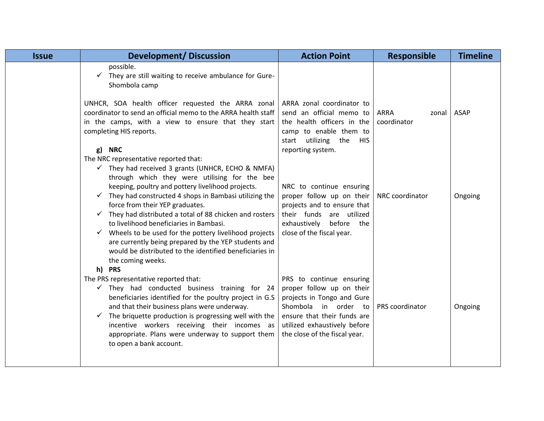| <b>Issue</b> | <b>Development/ Discussion</b>                                                                                                                                                                                                                                                                                                                                                                                                                                                                | <b>Action Point</b>                                                                                                                                                                                            | <b>Responsible</b>                  | <b>Timeline</b> |
|--------------|-----------------------------------------------------------------------------------------------------------------------------------------------------------------------------------------------------------------------------------------------------------------------------------------------------------------------------------------------------------------------------------------------------------------------------------------------------------------------------------------------|----------------------------------------------------------------------------------------------------------------------------------------------------------------------------------------------------------------|-------------------------------------|-----------------|
|              | possible.<br>$\checkmark$ They are still waiting to receive ambulance for Gure-<br>Shombola camp                                                                                                                                                                                                                                                                                                                                                                                              |                                                                                                                                                                                                                |                                     |                 |
|              | UNHCR, SOA health officer requested the ARRA zonal<br>coordinator to send an official memo to the ARRA health staff<br>in the camps, with a view to ensure that they start<br>completing HIS reports.                                                                                                                                                                                                                                                                                         | ARRA zonal coordinator to<br>send an official memo to<br>the health officers in the<br>camp to enable them to<br>start utilizing the HIS                                                                       | <b>ARRA</b><br>zonal<br>coordinator | <b>ASAP</b>     |
|              | g) NRC<br>The NRC representative reported that:<br>$\checkmark$ They had received 3 grants (UNHCR, ECHO & NMFA)<br>through which they were utilising for the bee                                                                                                                                                                                                                                                                                                                              | reporting system.                                                                                                                                                                                              |                                     |                 |
|              | keeping, poultry and pottery livelihood projects.<br>$\checkmark$ They had constructed 4 shops in Bambasi utilizing the<br>force from their YEP graduates.<br>$\checkmark$ They had distributed a total of 88 chicken and rosters<br>to livelihood beneficiaries in Bambasi.<br>Wheels to be used for the pottery livelihood projects<br>$\checkmark$<br>are currently being prepared by the YEP students and<br>would be distributed to the identified beneficiaries in<br>the coming weeks. | NRC to continue ensuring<br>proper follow up on their<br>projects and to ensure that<br>their funds are utilized<br>before the<br>exhaustively<br>close of the fiscal year.                                    | NRC coordinator                     | Ongoing         |
|              | h) PRS<br>The PRS representative reported that:<br>$\checkmark$ They had conducted business training for 24<br>beneficiaries identified for the poultry project in G.S<br>and that their business plans were underway.<br>The briquette production is progressing well with the<br>✓<br>incentive workers receiving their incomes as<br>appropriate. Plans were underway to support them                                                                                                      | PRS to continue ensuring<br>proper follow up on their<br>projects in Tongo and Gure<br>Shombola<br>in order to<br>ensure that their funds are<br>utilized exhaustively before<br>the close of the fiscal year. | PRS coordinator                     | Ongoing         |
|              | to open a bank account.                                                                                                                                                                                                                                                                                                                                                                                                                                                                       |                                                                                                                                                                                                                |                                     |                 |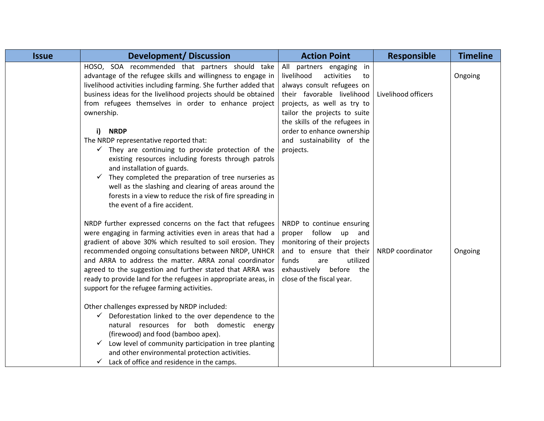| <b>Issue</b> | <b>Development/Discussion</b>                                                                                                                                                                                                                                                                                                                                                                                                                                                                                                                                                                                                                                                                                                                                                                                                                                     | <b>Action Point</b>                                                                                                                                                                                                                                                                               | <b>Responsible</b>  | <b>Timeline</b> |
|--------------|-------------------------------------------------------------------------------------------------------------------------------------------------------------------------------------------------------------------------------------------------------------------------------------------------------------------------------------------------------------------------------------------------------------------------------------------------------------------------------------------------------------------------------------------------------------------------------------------------------------------------------------------------------------------------------------------------------------------------------------------------------------------------------------------------------------------------------------------------------------------|---------------------------------------------------------------------------------------------------------------------------------------------------------------------------------------------------------------------------------------------------------------------------------------------------|---------------------|-----------------|
|              | HOSO, SOA recommended that partners should take<br>advantage of the refugee skills and willingness to engage in<br>livelihood activities including farming. She further added that<br>business ideas for the livelihood projects should be obtained<br>from refugees themselves in order to enhance project<br>ownership.<br><b>NRDP</b><br>i)<br>The NRDP representative reported that:<br>$\checkmark$ They are continuing to provide protection of the<br>existing resources including forests through patrols<br>and installation of guards.<br>They completed the preparation of tree nurseries as<br>✓<br>well as the slashing and clearing of areas around the<br>forests in a view to reduce the risk of fire spreading in<br>the event of a fire accident.                                                                                               | All partners engaging<br>in<br>livelihood<br>activities<br>to<br>always consult refugees on<br>their favorable livelihood<br>projects, as well as try to<br>tailor the projects to suite<br>the skills of the refugees in<br>order to enhance ownership<br>and sustainability of the<br>projects. | Livelihood officers | Ongoing         |
|              | NRDP further expressed concerns on the fact that refugees<br>were engaging in farming activities even in areas that had a<br>gradient of above 30% which resulted to soil erosion. They<br>recommended ongoing consultations between NRDP, UNHCR<br>and ARRA to address the matter. ARRA zonal coordinator<br>agreed to the suggestion and further stated that ARRA was<br>ready to provide land for the refugees in appropriate areas, in<br>support for the refugee farming activities.<br>Other challenges expressed by NRDP included:<br>Deforestation linked to the over dependence to the<br>$\checkmark$<br>natural resources for both domestic energy<br>(firewood) and food (bamboo apex).<br>Low level of community participation in tree planting<br>✓<br>and other environmental protection activities.<br>Lack of office and residence in the camps. | NRDP to continue ensuring<br>proper follow up and<br>monitoring of their projects<br>and to ensure that their<br>utilized<br>funds<br>are<br>exhaustively before the<br>close of the fiscal year.                                                                                                 | NRDP coordinator    | Ongoing         |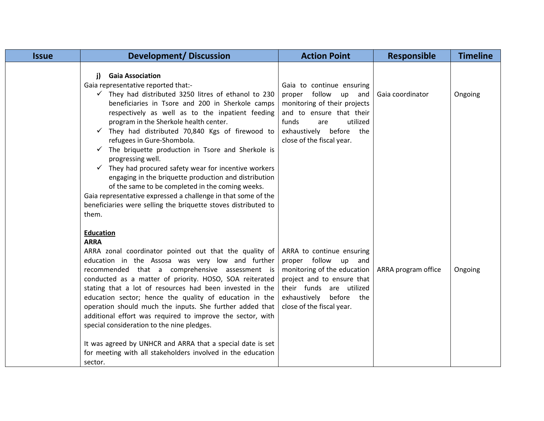| <b>Issue</b> | <b>Development/ Discussion</b>                                                                                                                                                                                                                                                                                                                                                                                                                                                                                                                                                                                                                                                                                                                                                                                | <b>Action Point</b>                                                                                                                                                                                     | <b>Responsible</b>  | <b>Timeline</b> |
|--------------|---------------------------------------------------------------------------------------------------------------------------------------------------------------------------------------------------------------------------------------------------------------------------------------------------------------------------------------------------------------------------------------------------------------------------------------------------------------------------------------------------------------------------------------------------------------------------------------------------------------------------------------------------------------------------------------------------------------------------------------------------------------------------------------------------------------|---------------------------------------------------------------------------------------------------------------------------------------------------------------------------------------------------------|---------------------|-----------------|
|              | <b>Gaia Association</b><br>j)<br>Gaia representative reported that:-<br>$\checkmark$ They had distributed 3250 litres of ethanol to 230<br>beneficiaries in Tsore and 200 in Sherkole camps<br>respectively as well as to the inpatient feeding<br>program in the Sherkole health center.<br>They had distributed 70,840 Kgs of firewood to<br>$\checkmark$<br>refugees in Gure-Shombola.<br>$\checkmark$ The briquette production in Tsore and Sherkole is<br>progressing well.<br>$\checkmark$ They had procured safety wear for incentive workers<br>engaging in the briquette production and distribution<br>of the same to be completed in the coming weeks.<br>Gaia representative expressed a challenge in that some of the<br>beneficiaries were selling the briquette stoves distributed to<br>them. | Gaia to continue ensuring<br>proper follow up and<br>monitoring of their projects<br>and to ensure that their<br>utilized<br>funds<br>are<br>before<br>exhaustively<br>the<br>close of the fiscal year. | Gaia coordinator    | Ongoing         |
|              | <b>Education</b><br><b>ARRA</b><br>ARRA zonal coordinator pointed out that the quality of<br>education in the Assosa was very low and further<br>recommended that a comprehensive assessment is<br>conducted as a matter of priority. HOSO, SOA reiterated<br>stating that a lot of resources had been invested in the<br>education sector; hence the quality of education in the<br>operation should much the inputs. She further added that<br>additional effort was required to improve the sector, with<br>special consideration to the nine pledges.<br>It was agreed by UNHCR and ARRA that a special date is set<br>for meeting with all stakeholders involved in the education<br>sector.                                                                                                             | ARRA to continue ensuring<br>proper follow up and<br>monitoring of the education<br>project and to ensure that<br>their funds are utilized<br>before the<br>exhaustively<br>close of the fiscal year.   | ARRA program office | Ongoing         |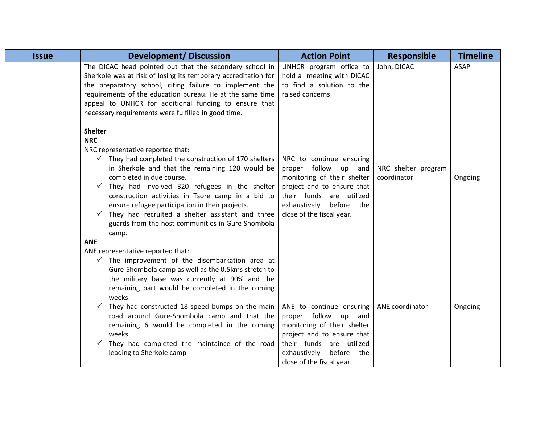| <b>Issue</b> | <b>Development/Discussion</b>                                                                                                                                                                                                                                                                                                                                                                                                                                                                                                  | <b>Action Point</b>                                                                                                                                                                                                       | <b>Responsible</b>                 | <b>Timeline</b> |
|--------------|--------------------------------------------------------------------------------------------------------------------------------------------------------------------------------------------------------------------------------------------------------------------------------------------------------------------------------------------------------------------------------------------------------------------------------------------------------------------------------------------------------------------------------|---------------------------------------------------------------------------------------------------------------------------------------------------------------------------------------------------------------------------|------------------------------------|-----------------|
|              | The DICAC head pointed out that the secondary school in<br>Sherkole was at risk of losing its temporary accreditation for<br>the preparatory school, citing failure to implement the<br>requirements of the education bureau. He at the same time<br>appeal to UNHCR for additional funding to ensure that<br>necessary requirements were fulfilled in good time.                                                                                                                                                              | UNHCR program office to<br>hold a meeting with DICAC<br>to find a solution to the<br>raised concerns                                                                                                                      | John, DICAC                        | <b>ASAP</b>     |
|              | <b>Shelter</b><br><b>NRC</b><br>NRC representative reported that:<br>$\checkmark$ They had completed the construction of 170 shelters<br>in Sherkole and that the remaining 120 would be<br>completed in due course.<br>They had involved 320 refugees in the shelter<br>construction activities in Tsore camp in a bid to<br>ensure refugee participation in their projects.<br>$\checkmark$ They had recruited a shelter assistant and three<br>guards from the host communities in Gure Shombola<br>camp.<br><b>ANE</b>     | NRC to continue ensuring<br>proper follow up and<br>monitoring of their shelter<br>project and to ensure that<br>their funds are utilized<br>exhaustively before the<br>close of the fiscal year.                         | NRC shelter program<br>coordinator | Ongoing         |
|              | ANE representative reported that:<br>$\checkmark$ The improvement of the disembarkation area at<br>Gure-Shombola camp as well as the 0.5kms stretch to<br>the military base was currently at 90% and the<br>remaining part would be completed in the coming<br>weeks.<br>They had constructed 18 speed bumps on the main<br>road around Gure-Shombola camp and that the<br>remaining 6 would be completed in the coming<br>weeks.<br>They had completed the maintaince of the road<br>$\checkmark$<br>leading to Sherkole camp | ANE to continue ensuring $\vert$ ANE coordinator<br>proper follow up and<br>monitoring of their shelter<br>project and to ensure that<br>their funds are utilized<br>exhaustively before the<br>close of the fiscal year. |                                    | Ongoing         |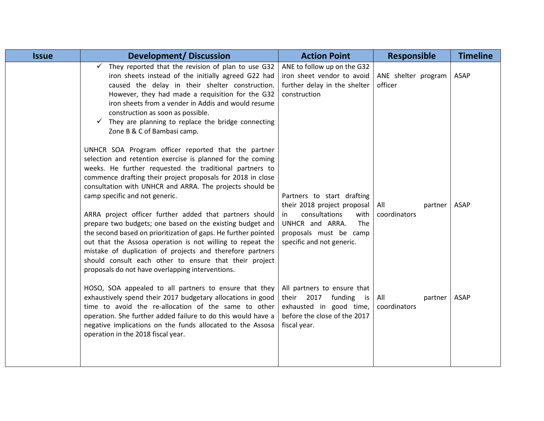| <b>Issue</b> | <b>Development/Discussion</b>                                                                                                                                                                                                                                                                                                                                                                                                                                                                                                                                                                                                                                                                                                                                                | <b>Action Point</b>                                                                                                                                                       | <b>Responsible</b>             | <b>Timeline</b> |
|--------------|------------------------------------------------------------------------------------------------------------------------------------------------------------------------------------------------------------------------------------------------------------------------------------------------------------------------------------------------------------------------------------------------------------------------------------------------------------------------------------------------------------------------------------------------------------------------------------------------------------------------------------------------------------------------------------------------------------------------------------------------------------------------------|---------------------------------------------------------------------------------------------------------------------------------------------------------------------------|--------------------------------|-----------------|
|              | They reported that the revision of plan to use G32<br>iron sheets instead of the initially agreed G22 had<br>caused the delay in their shelter construction.<br>However, they had made a requisition for the G32<br>iron sheets from a vender in Addis and would resume<br>construction as soon as possible.<br>$\checkmark$ They are planning to replace the bridge connecting<br>Zone B & C of Bambasi camp.                                                                                                                                                                                                                                                                                                                                                               | ANE to follow up on the G32<br>iron sheet vendor to avoid<br>further delay in the shelter<br>construction                                                                 | ANE shelter program<br>officer | ASAP            |
|              | UNHCR SOA Program officer reported that the partner<br>selection and retention exercise is planned for the coming<br>weeks. He further requested the traditional partners to<br>commence drafting their project proposals for 2018 in close<br>consultation with UNHCR and ARRA. The projects should be<br>camp specific and not generic.<br>ARRA project officer further added that partners should<br>prepare two budgets; one based on the existing budget and<br>the second based on prioritization of gaps. He further pointed<br>out that the Assosa operation is not willing to repeat the<br>mistake of duplication of projects and therefore partners<br>should consult each other to ensure that their project<br>proposals do not have overlapping interventions. | Partners to start drafting<br>their 2018 project proposal<br>consultations<br>with<br>in<br>UNHCR and ARRA.<br>The<br>proposals must be camp<br>specific and not generic. | All<br>partner<br>coordinators | ASAP            |
|              | HOSO, SOA appealed to all partners to ensure that they<br>exhaustively spend their 2017 budgetary allocations in good<br>time to avoid the re-allocation of the same to other<br>operation. She further added failure to do this would have a<br>negative implications on the funds allocated to the Assosa<br>operation in the 2018 fiscal year.                                                                                                                                                                                                                                                                                                                                                                                                                            | All partners to ensure that<br>2017<br>funding<br>their<br>is<br>exhausted in good time,<br>before the close of the 2017<br>fiscal year.                                  | All<br>partner<br>coordinators | <b>ASAP</b>     |